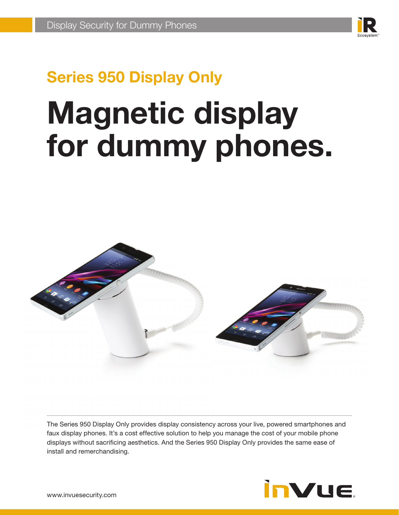

# **Series 950 Display Only**

# **Magnetic display for dummy phones.**



The Series 950 Display Only provides display consistency across your live, powered smartphones and faux display phones. It's a cost effective solution to help you manage the cost of your mobile phone displays without sacrificing aesthetics. And the Series 950 Display Only provides the same ease of install and remerchandising.